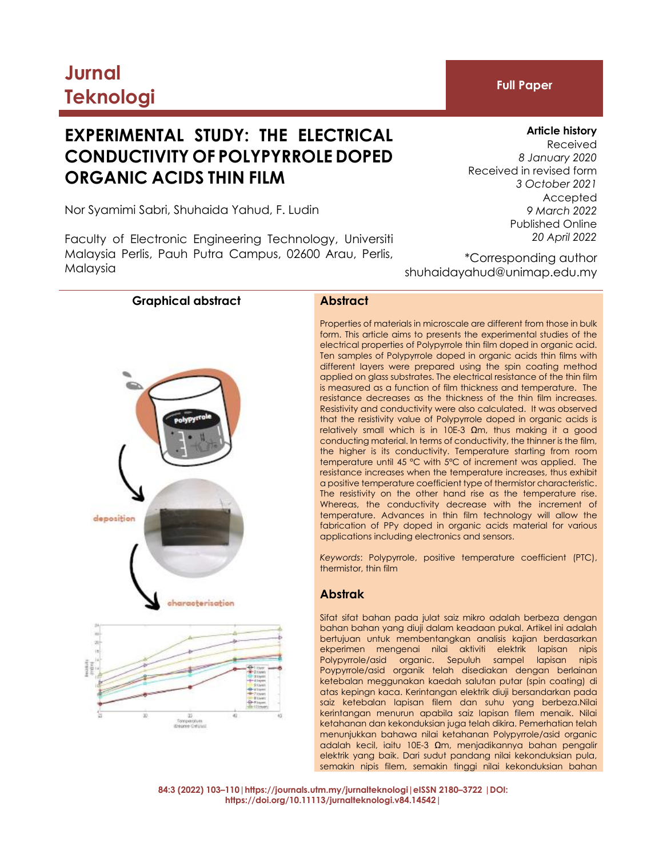# **Jurnal Teknologi Full Paper**

# **EXPERIMENTAL STUDY: THE ELECTRICAL CONDUCTIVITY OF POLYPYRROLE DOPED ORGANIC ACIDS THIN FILM**

Nor Syamimi Sabri, Shuhaida Yahud, F. Ludin

Faculty of Electronic Engineering Technology, Universiti Malaysia Perlis, Pauh Putra Campus, 02600 Arau, Perlis, Malaysia

# **Article history**

Received *8 January 2020* Received in revised form *3 October 2021* Accepted *9 March 2022* Published Online *20 April 2022*

\*Corresponding author shuhaidayahud@unimap.edu.my

# **Graphical abstract Abstract**





Properties of materials in microscale are different from those in bulk form. This article aims to presents the experimental studies of the electrical properties of Polypyrrole thin film doped in organic acid. Ten samples of Polypyrrole doped in organic acids thin films with different layers were prepared using the spin coating method applied on glass substrates. The electrical resistance of the thin film is measured as a function of film thickness and temperature. The resistance decreases as the thickness of the thin film increases. Resistivity and conductivity were also calculated. It was observed that the resistivity value of Polypyrrole doped in organic acids is relatively small which is in 10E-3  $\Omega$ m, thus making it a good conducting material. In terms of conductivity, the thinner is the film, the higher is its conductivity. Temperature starting from room temperature until 45 °C with 5°C of increment was applied. The resistance increases when the temperature increases, thus exhibit a positive temperature coefficient type of thermistor characteristic. The resistivity on the other hand rise as the temperature rise. Whereas, the conductivity decrease with the increment of temperature. Advances in thin film technology will allow the fabrication of PPy doped in organic acids material for various applications including electronics and sensors.

*Keywords*: Polypyrrole, positive temperature coefficient (PTC), thermistor, thin film

# **Abstrak**

Sifat sifat bahan pada julat saiz mikro adalah berbeza dengan bahan bahan yang diuji dalam keadaan pukal. Artikel ini adalah bertujuan untuk membentangkan analisis kajian berdasarkan ekperimen mengenai nilai aktiviti elektrik lapisan nipis Polypyrrole/asid organic. Sepuluh sampel lapisan nipis Poypyrrole/asid organik telah disediakan dengan berlainan ketebalan meggunakan kaedah salutan putar (spin coating) di atas kepingn kaca. Kerintangan elektrik diuji bersandarkan pada saiz ketebalan lapisan filem dan suhu yang berbeza.Nilai kerintangan menurun apabila saiz lapisan filem menaik. Nilai ketahanan dan kekonduksian juga telah dikira. Pemerhatian telah menunjukkan bahawa nilai ketahanan Polypyrrole/asid organic adalah kecil, iaitu 10E-3 Ωm, menjadikannya bahan pengalir elektrik yang baik. Dari sudut pandang nilai kekonduksian pula, semakin nipis filem, semakin tinggi nilai kekonduksian bahan

**84:3 (2022) 103–110|https://journals.utm.my/jurnalteknologi|eISSN 2180–3722 |DOI: https://doi.org/10.11113/jurnalteknologi.v84.14542|**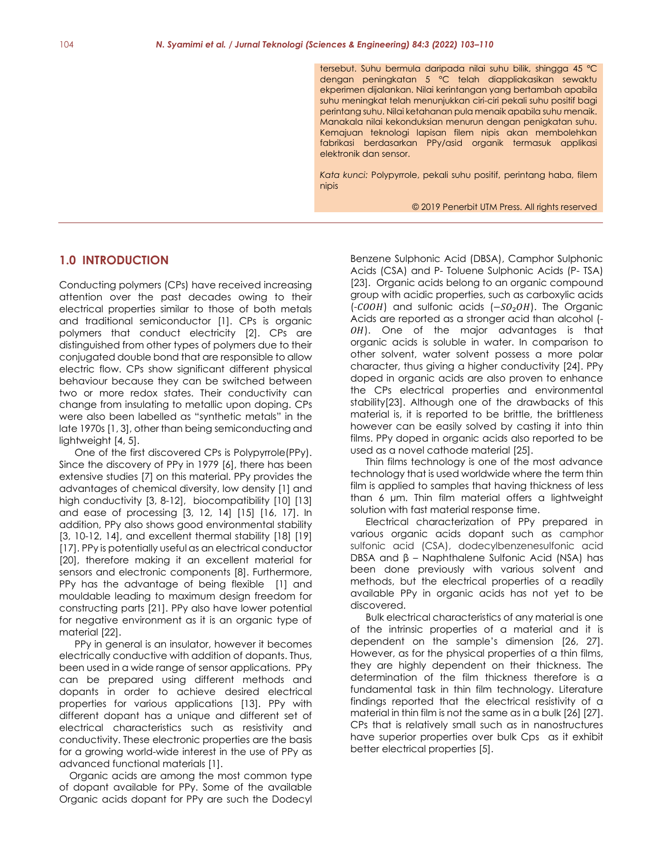tersebut. Suhu bermula daripada nilai suhu bilik, shingga 45 °C dengan peningkatan 5 °C telah diappliakasikan sewaktu ekperimen dijalankan. Nilai kerintangan yang bertambah apabila suhu meningkat telah menunjukkan ciri-ciri pekali suhu positif bagi perintang suhu. Nilai ketahanan pula menaik apabila suhu menaik. Manakala nilai kekonduksian menurun dengan penigkatan suhu. Kemajuan teknologi lapisan filem nipis akan membolehkan fabrikasi berdasarkan PPy/asid organik termasuk applikasi elektronik dan sensor.

*Kata kunci:* Polypyrrole, pekali suhu positif, perintang haba, filem nipis

© 2019 Penerbit UTM Press. All rights reserved

# **1.0 INTRODUCTION**

Conducting polymers (CPs) have received increasing attention over the past decades owing to their electrical properties similar to those of both metals and traditional semiconductor [1]. CPs is organic polymers that conduct electricity [2]. CPs are distinguished from other types of polymers due to their conjugated double bond that are responsible to allow electric flow. CPs show significant different physical behaviour because they can be switched between two or more redox states. Their conductivity can change from insulating to metallic upon doping. CPs were also been labelled as "synthetic metals" in the late 1970s [1, 3], other than being semiconducting and lightweight [4, 5].

One of the first discovered CPs is Polypyrrole(PPy). Since the discovery of PPy in 1979 [6], there has been extensive studies [7] on this material. PPy provides the advantages of chemical diversity, low density [1] and high conductivity [3, 8-12], biocompatibility [10] [13] and ease of processing [3, 12, 14] [15] [16, 17]. In addition, PPy also shows good environmental stability [3, 10-12, 14], and excellent thermal stability [18] [19] [17]. PPy is potentially useful as an electrical conductor [20], therefore making it an excellent material for sensors and electronic components [8]. Furthermore, PPy has the advantage of being flexible [1] and mouldable leading to maximum design freedom for constructing parts [21]. PPy also have lower potential for negative environment as it is an organic type of material [22].

PPy in general is an insulator, however it becomes electrically conductive with addition of dopants. Thus, been used in a wide range of sensor applications. PPy can be prepared using different methods and dopants in order to achieve desired electrical properties for various applications [13]. PPy with different dopant has a unique and different set of electrical characteristics such as resistivity and conductivity. These electronic properties are the basis for a growing world-wide interest in the use of PPy as advanced functional materials [1].

Organic acids are among the most common type of dopant available for PPy. Some of the available Organic acids dopant for PPy are such the Dodecyl

Benzene Sulphonic Acid (DBSA), Camphor Sulphonic Acids (CSA) and P- Toluene Sulphonic Acids (P- TSA) [23]. Organic acids belong to an organic compound group with acidic properties, such as carboxylic acids (- $COOH$ ) and sulfonic acids (- $SO<sub>2</sub>OH$ ). The Organic Acids are reported as a stronger acid than alcohol (- OH). One of the major advantages is that organic acids is soluble in water. In comparison to other solvent, water solvent possess a more polar character, thus giving a higher conductivity [24]. PPy doped in organic acids are also proven to enhance the CPs electrical properties and environmental stability[23]. Although one of the drawbacks of this material is, it is reported to be brittle, the brittleness however can be easily solved by casting it into thin films. PPy doped in organic acids also reported to be used as a novel cathode material [25].

Thin films technology is one of the most advance technology that is used worldwide where the term thin film is applied to samples that having thickness of less than 6 µm. Thin film material offers a lightweight solution with fast material response time.

Electrical characterization of PPy prepared in various organic acids dopant such as camphor sulfonic acid (CSA), dodecylbenzenesulfonic acid DBSA and β – Naphthalene Sulfonic Acid (NSA) has been done previously with various solvent and methods, but the electrical properties of a readily available PPy in organic acids has not yet to be discovered.

Bulk electrical characteristics of any material is one of the intrinsic properties of a material and it is dependent on the sample's dimension [26, 27]. However, as for the physical properties of a thin films, they are highly dependent on their thickness. The determination of the film thickness therefore is a fundamental task in thin film technology. Literature findings reported that the electrical resistivity of a material in thin film is not the same as in a bulk [26] [27]. CPs that is relatively small such as in nanostructures have superior properties over bulk Cps as it exhibit better electrical properties [5].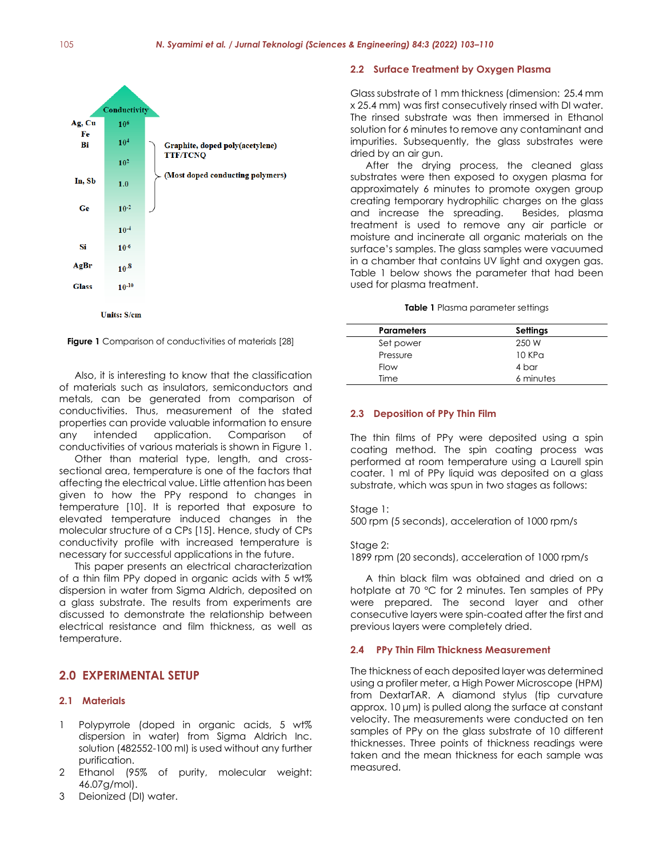

**Figure 1** Comparison of conductivities of materials [28]

Also, it is interesting to know that the classification of materials such as insulators, semiconductors and metals, can be generated from comparison of conductivities. Thus, measurement of the stated properties can provide valuable information to ensure any intended application. Comparison of conductivities of various materials is shown in Figure 1.

Other than material type, length, and crosssectional area, temperature is one of the factors that affecting the electrical value. Little attention has been given to how the PPy respond to changes in temperature [10]. It is reported that exposure to elevated temperature induced changes in the molecular structure of a CPs [15]. Hence, study of CPs conductivity profile with increased temperature is necessary for successful applications in the future.

This paper presents an electrical characterization of a thin film PPy doped in organic acids with 5 wt% dispersion in water from Sigma Aldrich, deposited on a glass substrate. The results from experiments are discussed to demonstrate the relationship between electrical resistance and film thickness, as well as temperature.

# **2.0 EXPERIMENTAL SETUP**

# **2.1 Materials**

- 1 Polypyrrole (doped in organic acids, 5 wt% dispersion in water) from Sigma Aldrich Inc. solution (482552-100 ml) is used without any further purification.
- 2 Ethanol (95% of purity, molecular weight: 46.07g/mol).
- 3 Deionized (DI) water.

## **2.2 Surface Treatment by Oxygen Plasma**

Glass substrate of 1 mm thickness (dimension: 25.4 mm x 25.4 mm) was first consecutively rinsed with DI water. The rinsed substrate was then immersed in Ethanol solution for 6 minutes to remove any contaminant and impurities. Subsequently, the glass substrates were dried by an air gun.

After the drying process, the cleaned glass substrates were then exposed to oxygen plasma for approximately 6 minutes to promote oxygen group creating temporary hydrophilic charges on the glass and increase the spreading. Besides, plasma treatment is used to remove any air particle or moisture and incinerate all organic materials on the surface's samples. The glass samples were vacuumed in a chamber that contains UV light and oxygen gas. Table 1 below shows the parameter that had been used for plasma treatment.

#### **Table 1** Plasma parameter settings

| <b>Parameters</b> | <b>Settings</b> |
|-------------------|-----------------|
| Set power         | 250 W           |
| Pressure          | 10KPa           |
| <b>Flow</b>       | 4 bar           |
| Time              | 6 minutes       |

#### **2.3 Deposition of PPy Thin Film**

The thin films of PPy were deposited using a spin coating method. The spin coating process was performed at room temperature using a Laurell spin coater. 1 ml of PPy liquid was deposited on a glass substrate, which was spun in two stages as follows:

Stage 1:

500 rpm (5 seconds), acceleration of 1000 rpm/s

Stage 2:

1899 rpm (20 seconds), acceleration of 1000 rpm/s

A thin black film was obtained and dried on a hotplate at 70 °C for 2 minutes. Ten samples of PPy were prepared. The second layer and other consecutive layers were spin-coated after the first and previous layers were completely dried.

# **2.4 PPy Thin Film Thickness Measurement**

The thickness of each deposited layer was determined using a profiler meter, a High Power Microscope (HPM) from DextarTAR. A diamond stylus (tip curvature approx. 10 μm) is pulled along the surface at constant velocity. The measurements were conducted on ten samples of PPy on the glass substrate of 10 different thicknesses. Three points of thickness readings were taken and the mean thickness for each sample was measured.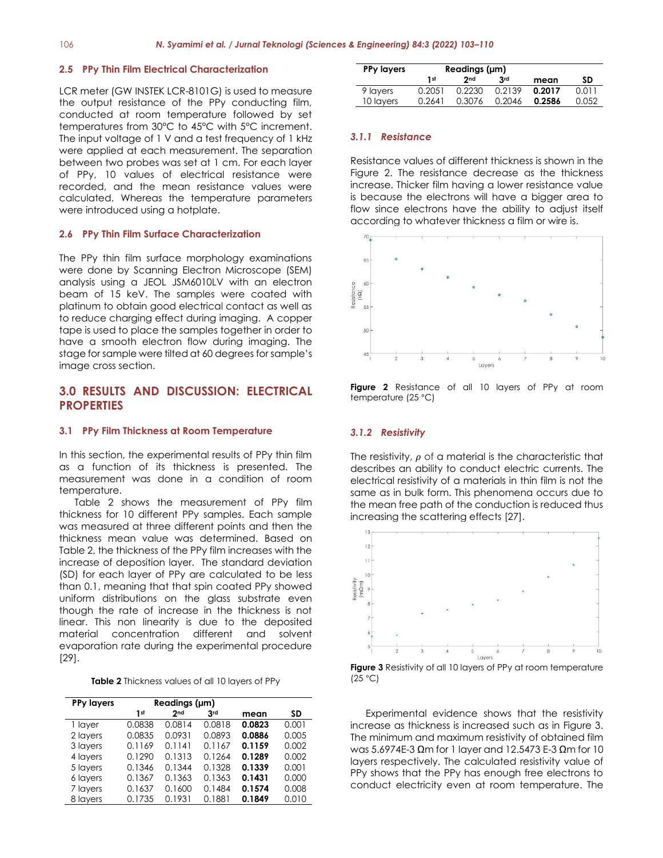#### **2.5 PPy Thin Film Electrical Characterization**

LCR meter (GW INSTEK LCR-8101G) is used to measure the output resistance of the PPy conducting film, conducted at room temperature followed by set temperatures from 30°C to 45°C with 5°C increment. The input voltage of 1 V and a test frequency of 1 kHz were applied at each measurement. The separation between two probes was set at 1 cm. For each layer of PPy, 10 values of electrical resistance were recorded, and the mean resistance values were calculated. Whereas the temperature parameters were introduced using a hotplate.

#### **2.6 PPy Thin Film Surface Characterization**

The PPy thin film surface morphology examinations were done by Scanning Electron Microscope (SEM) analysis using a JEOL JSM6010LV with an electron beam of 15 keV. The samples were coated with platinum to obtain good electrical contact as well as to reduce charging effect during imaging. A copper tape is used to place the samples together in order to have a smooth electron flow during imaging. The stage for sample were tilted at 60 degrees for sample's image cross section.

# **3.0 RESULTS AND DISCUSSION: ELECTRICAL PROPERTIES**

## **3.1 PPy Film Thickness at Room Temperature**

In this section, the experimental results of PPy thin film as a function of its thickness is presented. The measurement was done in a condition of room temperature.

Table 2 shows the measurement of PPy film thickness for 10 different PPy samples. Each sample was measured at three different points and then the thickness mean value was determined. Based on Table 2, the thickness of the PPy film increases with the increase of deposition layer. The standard deviation (SD) for each layer of PPy are calculated to be less than 0.1, meaning that that spin coated PPy showed uniform distributions on the glass substrate even though the rate of increase in the thickness is not linear. This non linearity is due to the deposited material concentration different and solvent evaporation rate during the experimental procedure [29].

|  | Table 2 Thickness values of all 10 layers of PPy |  |  |  |  |
|--|--------------------------------------------------|--|--|--|--|
|--|--------------------------------------------------|--|--|--|--|

| <b>PPy layers</b> | Readings (µm)   |        |        |        |       |
|-------------------|-----------------|--------|--------|--------|-------|
|                   | 1 <sub>st</sub> | 2nd    | 3rd    | mean   | SD    |
| 1 layer           | 0.0838          | 0.0814 | 0.0818 | 0.0823 | 0.001 |
| 2 layers          | 0.0835          | 0.0931 | 0.0893 | 0.0886 | 0.005 |
| 3 layers          | 0.1169          | 0.1141 | 0.1167 | 0.1159 | 0.002 |
| 4 lavers          | 0.1290          | 0.1313 | 0.1264 | 0.1289 | 0.002 |
| 5 layers          | 0.1346          | 0.1344 | 0.1328 | 0.1339 | 0.001 |
| 6 layers          | 0.1367          | 0.1363 | 0.1363 | 0.1431 | 0.000 |
| 7 layers          | 0.1637          | 0.1600 | 0.1484 | 0.1574 | 0.008 |
| 8 lavers          | 0.1735          | 0.1931 | 0.1881 | 0.1849 | 0.010 |

| <b>PPy layers</b> | Readings (µm)   |                 |            |        |       |
|-------------------|-----------------|-----------------|------------|--------|-------|
|                   | 1 <sub>st</sub> | 2 <sub>nd</sub> | <b>Rrd</b> | mean   | SD    |
| 9 layers          | 0.2051          | 0.2230          | 0.2139     | 0.2017 | 0.011 |
| 10 layers         | 0.2641          | 0.3076          | 0.2046     | 0.2586 | 0.052 |

# *3.1.1 Resistance*

Resistance values of different thickness is shown in the Figure 2. The resistance decrease as the thickness increase. Thicker film having a lower resistance value is because the electrons will have a bigger area to flow since electrons have the ability to adjust itself according to whatever thickness a film or wire is.



**Figure 2** Resistance of all 10 layers of PPy at room temperature (25 °C)

# *3.1.2 Resistivity*

The resistivity,  $\rho$  of a material is the characteristic that describes an ability to conduct electric currents. The electrical resistivity of a materials in thin film is not the same as in bulk form. This phenomena occurs due to the mean free path of the conduction is reduced thus increasing the scattering effects [27].





Experimental evidence shows that the resistivity increase as thickness is increased such as in Figure 3. The minimum and maximum resistivity of obtained film was 5.6974E-3 Ωm for 1 layer and 12.5473 E-3 Ωm for 10 layers respectively. The calculated resistivity value of PPy shows that the PPy has enough free electrons to conduct electricity even at room temperature. The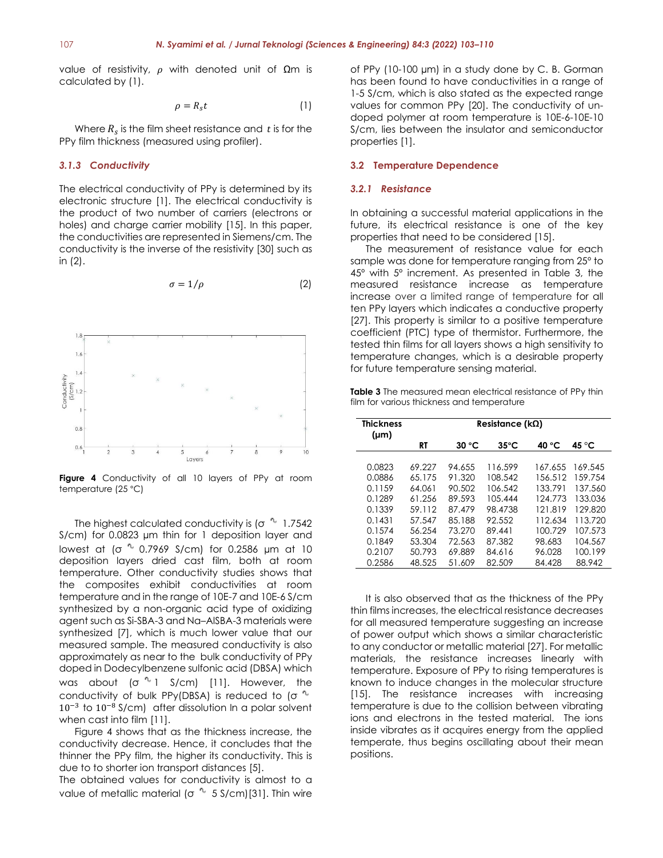value of resistivity,  $ρ$  with denoted unit of  $Ωm$  is calculated by (1).

$$
\rho = R_s t \tag{1}
$$

Where  $R_s$  is the film sheet resistance and  $t$  is for the PPy film thickness (measured using profiler).

# *3.1.3 Conductivity*

The electrical conductivity of PPy is determined by its electronic structure [1]. The electrical conductivity is the product of two number of carriers (electrons or holes) and charge carrier mobility [15]. In this paper, the conductivities are represented in Siemens/cm. The conductivity is the inverse of the resistivity [30] such as in (2).

$$
\sigma = 1/\rho \tag{2}
$$



**Figure 4** Conductivity of all 10 layers of PPy at room temperature (25 °C)

The highest calculated conductivity is ( $\sigma$ <sup>4</sup> 1.7542 S/cm) for 0.0823 µm thin for 1 deposition layer and lowest at ( $\sigma$  <sup>0</sup> 0.7969 S/cm) for 0.2586 µm at 10 deposition layers dried cast film, both at room temperature. Other conductivity studies shows that the composites exhibit conductivities at room temperature and in the range of 10E-7 and 10E-6 S/cm synthesized by a non-organic acid type of oxidizing agent such as Si-SBA-3 and Na–AlSBA-3 materials were synthesized [7], which is much lower value that our measured sample. The measured conductivity is also approximately as near to the bulk conductivity of PPy doped in Dodecylbenzene sulfonic acid (DBSA) which was about ( $\sigma$ <sup>n</sup> 1 S/cm) [11]. However, the conductivity of bulk PPy(DBSA) is reduced to (σ<sup>n.</sup> 10−3 to 10−8 S/cm) after dissolution In a polar solvent when cast into film [11].

Figure 4 shows that as the thickness increase, the conductivity decrease. Hence, it concludes that the thinner the PPy film, the higher its conductivity. This is due to to shorter ion transport distances [5].

The obtained values for conductivity is almost to a value of metallic material ( $\sigma$ <sup>4</sup> 5 S/cm)[31]. Thin wire of PPy (10-100 µm) in a study done by C. B. Gorman has been found to have conductivities in a range of 1-5 S/cm, which is also stated as the expected range values for common PPy [20]. The conductivity of undoped polymer at room temperature is 10E-6-10E-10 S/cm, lies between the insulator and semiconductor properties [1].

#### **3.2 Temperature Dependence**

# *3.2.1 Resistance*

In obtaining a successful material applications in the future, its electrical resistance is one of the key properties that need to be considered [15].

The measurement of resistance value for each sample was done for temperature ranging from 25º to 45º with 5º increment. As presented in Table 3, the measured resistance increase as temperature increase over a limited range of temperature for all ten PPy layers which indicates a conductive property [27]. This property is similar to a positive temperature coefficient (PTC) type of thermistor. Furthermore, the tested thin films for all layers shows a high sensitivity to temperature changes, which is a desirable property for future temperature sensing material.

**Table 3** The measured mean electrical resistance of PPy thin film for various thickness and temperature

| <b>Thickness</b><br>$(\mu m)$ |           | Resistance ( $k\Omega$ ) |                |         |         |
|-------------------------------|-----------|--------------------------|----------------|---------|---------|
|                               | <b>RT</b> | 30 °C                    | $35^{\circ}$ C | 40 °C   | 45 °C   |
| 0.0823                        | 69.227    | 94.655                   | 116.599        | 167.655 | 169.545 |
| 0.0886                        | 65.175    | 91.320                   | 108.542        | 156.512 | 159.754 |
| 0.1159                        | 64.061    | 90.502                   | 106.542        | 133.791 | 137.560 |
| 0.1289                        | 61.256    | 89.593                   | 105.444        | 124.773 | 133.036 |
| 0.1339                        | 59.112    | 87.479                   | 98.4738        | 121.819 | 129,820 |
| 0.1431                        | 57.547    | 85.188                   | 92.552         | 112.634 | 113.720 |
| 0.1574                        | 56.254    | 73.270                   | 89.441         | 100.729 | 107.573 |
| 0.1849                        | 53.304    | 72.563                   | 87.382         | 98.683  | 104.567 |
| 0.2107                        | 50.793    | 69.889                   | 84.616         | 96.028  | 100.199 |
| 0.2586                        | 48.525    | 51.609                   | 82.509         | 84.428  | 88.942  |

It is also observed that as the thickness of the PPy thin films increases, the electrical resistance decreases for all measured temperature suggesting an increase of power output which shows a similar characteristic to any conductor or metallic material [27]. For metallic materials, the resistance increases linearly with temperature. Exposure of PPy to rising temperatures is known to induce changes in the molecular structure [15]. The resistance increases with increasing temperature is due to the collision between vibrating ions and electrons in the tested material. The ions inside vibrates as it acquires energy from the applied temperate, thus begins oscillating about their mean positions.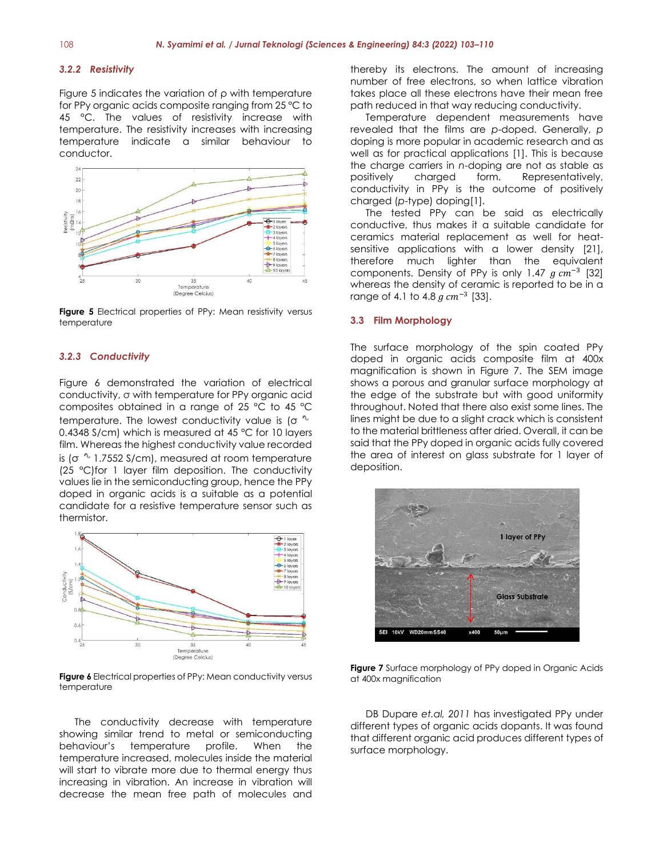## *3.2.2 Resistivity*

Figure 5 indicates the variation of ρ with temperature for PPy organic acids composite ranging from 25 °C to 45 °C. The values of resistivity increase with temperature. The resistivity increases with increasing temperature indicate a similar behaviour to conductor.



**Figure 5** Electrical properties of PPy: Mean resistivity versus temperature

## *3.2.3 Conductivity*

Figure 6 demonstrated the variation of electrical conductivity, σ with temperature for PPy organic acid composites obtained in a range of 25 °C to 45 °C temperature. The lowest conductivity value is ( $\sigma^{-n}$ ) 0.4348 S/cm) which is measured at 45 °C for 10 layers film. Whereas the highest conductivity value recorded is ( $\sigma$ <sup>n</sup> 1.7552 S/cm), measured at room temperature (25 °C)for 1 layer film deposition. The conductivity values lie in the semiconducting group, hence the PPy doped in organic acids is a suitable as a potential candidate for a resistive temperature sensor such as thermistor.



**Figure 6** Electrical properties of PPy: Mean conductivity versus temperature

The conductivity decrease with temperature showing similar trend to metal or semiconducting behaviour's temperature profile. When the temperature increased, molecules inside the material will start to vibrate more due to thermal energy thus increasing in vibration. An increase in vibration will decrease the mean free path of molecules and

thereby its electrons. The amount of increasing number of free electrons, so when lattice vibration takes place all these electrons have their mean free path reduced in that way reducing conductivity.

Temperature dependent measurements have revealed that the films are *p*-doped. Generally, *p* doping is more popular in academic research and as well as for practical applications [1]. This is because the charge carriers in *n*-doping are not as stable as positively charged form. Representatively, conductivity in PPy is the outcome of positively charged (*p*-type) doping[1].

The tested PPy can be said as electrically conductive, thus makes it a suitable candidate for ceramics material replacement as well for heatsensitive applications with a lower density [21], therefore much lighter than the equivalent components. Density of PPy is only 1.47  $g \, cm^{-3}$  [32] whereas the density of ceramic is reported to be in a range of 4.1 to 4.8  $g \, cm^{-3}$  [33].

# **3.3 Film Morphology**

The surface morphology of the spin coated PPy doped in organic acids composite film at 400x magnification is shown in Figure 7. The SEM image shows a porous and granular surface morphology at the edge of the substrate but with good uniformity throughout. Noted that there also exist some lines. The lines might be due to a slight crack which is consistent to the material brittleness after dried. Overall, it can be said that the PPy doped in organic acids fully covered the area of interest on glass substrate for 1 layer of deposition.



**Figure 7** Surface morphology of PPy doped in Organic Acids at 400x magnification

DB Dupare *et.al, 2011* has investigated PPy under different types of organic acids dopants. It was found that different organic acid produces different types of surface morphology.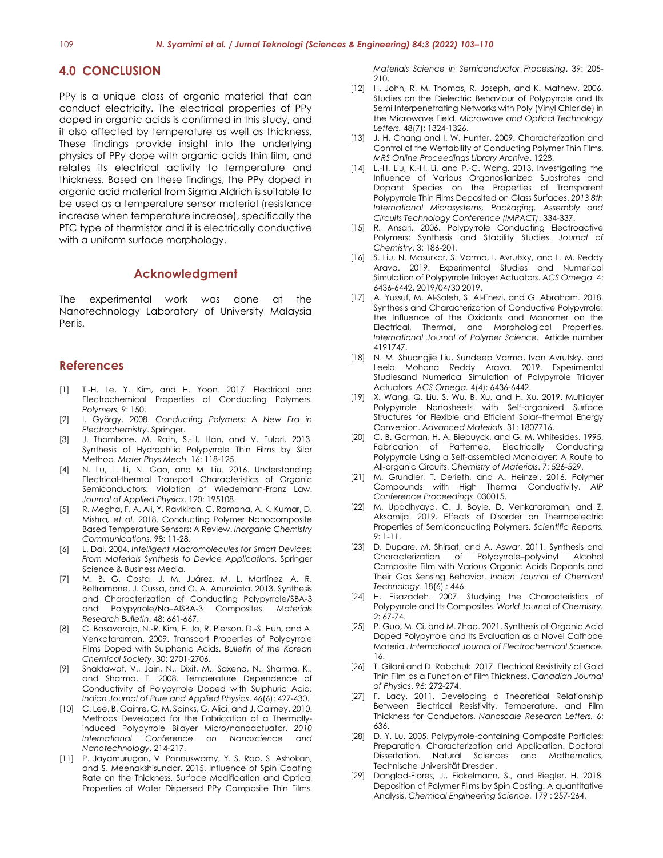# **4.0 CONCLUSION**

PPy is a unique class of organic material that can conduct electricity. The electrical properties of PPy doped in organic acids is confirmed in this study, and it also affected by temperature as well as thickness. These findings provide insight into the underlying physics of PPy dope with organic acids thin film, and relates its electrical activity to temperature and thickness. Based on these findings, the PPy doped in organic acid material from Sigma Aldrich is suitable to be used as a temperature sensor material (resistance increase when temperature increase), specifically the PTC type of thermistor and it is electrically conductive with a uniform surface morphology.

# **Acknowledgment**

The experimental work was done at the Nanotechnology Laboratory of University Malaysia Perlis.

# **References**

- [1] T.-H. Le, Y. Kim, and H. Yoon. 2017. Electrical and Electrochemical Properties of Conducting Polymers. *Polymers.* 9: 150.
- [2] I. György. 2008. *Conducting Polymers: A New Era in Electrochemistry*. Springer.
- J. Thombare, M. Rath, S.-H. Han, and V. Fulari. 2013. Synthesis of Hydrophilic Polypyrrole Thin Films by Silar Method. *Mater Phys Mech.* 16: 118-125.
- [4] N. Lu, L. Li, N. Gao, and M. Liu. 2016. Understanding Electrical-thermal Transport Characteristics of Organic Semiconductors: Violation of Wiedemann-Franz Law. *Journal of Applied Physics*. 120: 195108.
- [5] R. Megha, F. A. Ali, Y. Ravikiran, C. Ramana, A. K. Kumar, D. Mishra*, et al.* 2018. Conducting Polymer Nanocomposite Based Temperature Sensors: A Review. *Inorganic Chemistry Communications*. 98: 11-28.
- [6] L. Dai. 2004. *Intelligent Macromolecules for Smart Devices: From Materials Synthesis to Device Applications*. Springer Science & Business Media.
- [7] M. B. G. Costa, J. M. Juárez, M. L. Martínez, A. R. Beltramone, J. Cussa, and O. A. Anunziata. 2013. Synthesis and Characterization of Conducting Polypyrrole/SBA-3 and Polypyrrole/Na–AlSBA-3 Composites. *Materials Research Bulletin*. 48: 661-667.
- [8] C. Basavaraja, N.-R. Kim, E. Jo, R. Pierson, D.-S. Huh, and A. Venkataraman. 2009. Transport Properties of Polypyrrole Films Doped with Sulphonic Acids. *Bulletin of the Korean Chemical Society*. 30: 2701-2706.
- [9] Shaktawat, V., Jain, N., Dixit, M., Saxena, N., Sharma, K., and Sharma, T. 2008. Temperature Dependence of Conductivity of Polypyrrole Doped with Sulphuric Acid. *Indian Journal of Pure and Applied Physics*. 46(6): 427-430.
- [10] C. Lee, B. Gaihre, G. M. Spinks, G. Alici, and J. Cairney. 2010. Methods Developed for the Fabrication of a Thermallyinduced Polypyrrole Bilayer Micro/nanoactuator. *2010 International Conference on Nanoscience and Nanotechnology*. 214-217.
- [11] P. Jayamurugan, V. Ponnuswamy, Y. S. Rao, S. Ashokan, and S. Meenakshisundar. 2015. Influence of Spin Coating Rate on the Thickness, Surface Modification and Optical Properties of Water Dispersed PPy Composite Thin Films.

*Materials Science in Semiconductor Processing*. 39: 205- 210.

- [12] H. John, R. M. Thomas, R. Joseph, and K. Mathew. 2006. Studies on the Dielectric Behaviour of Polypyrrole and Its Semi Interpenetrating Networks with Poly (Vinyl Chloride) in the Microwave Field. *Microwave and Optical Technology Letters.* 48(7): 1324-1326.
- [13] J. H. Chang and I. W. Hunter. 2009. Characterization and Control of the Wettability of Conducting Polymer Thin Films. *MRS Online Proceedings Library Archive*. 1228.
- [14] L.-H. Liu, K.-H. Li, and P.-C. Wang. 2013. Investigating the Influence of Various Organosilanized Substrates and Dopant Species on the Properties of Transparent Polypyrrole Thin Films Deposited on Glass Surfaces. *2013 8th International Microsystems, Packaging, Assembly and Circuits Technology Conference (IMPACT)*. 334-337.
- [15] R. Ansari. 2006. Polypyrrole Conducting Electroactive Polymers: Synthesis and Stability Studies. *Journal of Chemistry*. 3: 186-201.
- [16] S. Liu, N. Masurkar, S. Varma, I. Avrutsky, and L. M. Reddy Arava. 2019. Experimental Studies and Numerical Simulation of Polypyrrole Trilayer Actuators. *ACS Omega.* 4: 6436-6442, 2019/04/30 2019.
- [17] A. Yussuf, M. Al-Saleh, S. Al-Enezi, and G. Abraham. 2018. Synthesis and Characterization of Conductive Polypyrrole: the Influence of the Oxidants and Monomer on the Electrical, Thermal, and Morphological Properties. *International Journal of Polymer Science.* Article number 4191747.
- [18] N. M. Shuangjie Liu, Sundeep Varma, Ivan Avrutsky, and Leela Mohana Reddy Arava. 2019. Experimental Studiesand Numerical Simulation of Polypyrrole Trilayer Actuators. *ACS Omega.* 4(4): 6436-6442.
- [19] X. Wang, Q. Liu, S. Wu, B. Xu, and H. Xu. 2019. Multilayer Polypyrrole Nanosheets with Self‐organized Surface Structures for Flexible and Efficient Solar–thermal Energy Conversion. *Advanced Materials*. 31: 1807716.
- [20] C. B. Gorman, H. A. Biebuyck, and G. M. Whitesides. 1995. Fabrication of Patterned, Electrically Conducting Polypyrrole Using a Self-assembled Monolayer: A Route to All-organic Circuits. *Chemistry of Materials*. 7: 526-529.
- [21] M. Grundler, T. Derieth, and A. Heinzel. 2016. Polymer Compounds with High Thermal Conductivity. *AIP Conference Proceedings*. 030015.
- [22] M. Upadhyaya, C. J. Boyle, D. Venkataraman, and Z. Aksamija. 2019. Effects of Disorder on Thermoelectric Properties of Semiconducting Polymers. *Scientific Reports.* 9: 1-11.
- [23] D. Dupare, M. Shirsat, and A. Aswar. 2011. Synthesis and Characterization of Polypyrrole–polyvinyl Alcohol Composite Film with Various Organic Acids Dopants and Their Gas Sensing Behavior. *Indian Journal of Chemical Technology*. 18(6) : 446.
- [24] H. Eisazadeh. 2007. Studying the Characteristics of Polypyrrole and Its Composites. *World Journal of Chemistry.* 2: 67-74.
- [25] P. Guo, M. Ci, and M. Zhao. 2021. Synthesis of Organic Acid Doped Polypyrrole and Its Evaluation as a Novel Cathode Material. *International Journal of Electrochemical Science.* 16.
- [26] T. Gilani and D. Rabchuk. 2017. Electrical Resistivity of Gold Thin Film as a Function of Film Thickness. *Canadian Journal of Physics*. 96: 272-274.
- [27] F. Lacy. 2011. Developing a Theoretical Relationship Between Electrical Resistivity, Temperature, and Film Thickness for Conductors. *Nanoscale Research Letters.* 6: 636.
- [28] D. Y. Lu. 2005. Polypyrrole-containing Composite Particles: Preparation, Characterization and Application. Doctoral Dissertation. Natural Sciences and Mathematics, Technische Universität Dresden.
- [29] Danglad-Flores, J., Eickelmann, S., and Riegler, H. 2018. Deposition of Polymer Films by Spin Casting: A quantitative Analysis. *Chemical Engineering Science.* 179 : 257-264.